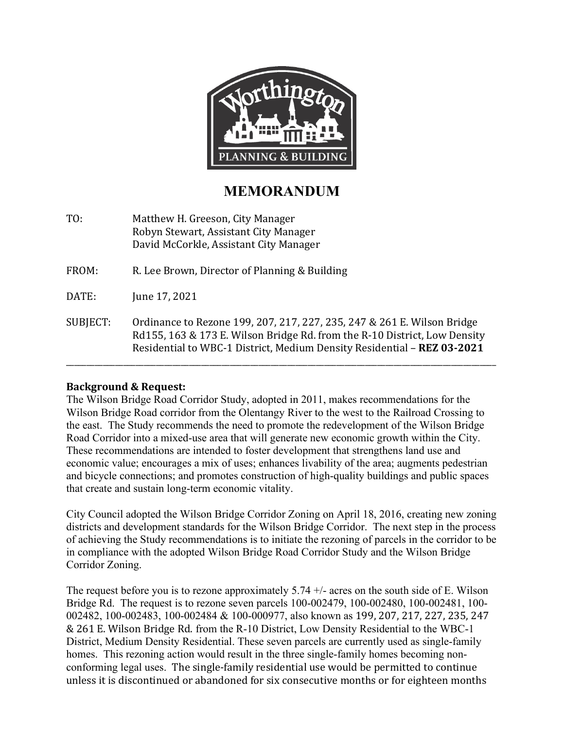

# **MEMORANDUM**

TO: Matthew H. Greeson, City Manager Robyn Stewart, Assistant City Manager David McCorkle, Assistant City Manager

FROM: R. Lee Brown, Director of Planning & Building

DATE: June 17, 2021

SUBJECT: Ordinance to Rezone 199, 207, 217, 227, 235, 247 & 261 E. Wilson Bridge Rd155, 163 & 173 E. Wilson Bridge Rd. from the R-10 District, Low Density Residential to WBC-1 District, Medium Density Residential – **REZ 03-2021**

\_\_\_\_\_\_\_\_\_\_\_\_\_\_\_\_\_\_\_\_\_\_\_\_\_\_\_\_\_\_\_\_\_\_\_\_\_\_\_\_\_\_\_\_\_\_\_\_\_\_\_\_\_\_\_\_\_\_\_\_\_\_\_\_\_\_\_\_\_\_\_\_\_\_\_\_\_\_\_\_\_\_\_\_\_\_\_\_\_\_\_\_\_\_\_\_\_\_\_\_\_\_\_\_\_

# **Background & Request:**

The Wilson Bridge Road Corridor Study, adopted in 2011, makes recommendations for the Wilson Bridge Road corridor from the Olentangy River to the west to the Railroad Crossing to the east. The Study recommends the need to promote the redevelopment of the Wilson Bridge Road Corridor into a mixed-use area that will generate new economic growth within the City. These recommendations are intended to foster development that strengthens land use and economic value; encourages a mix of uses; enhances livability of the area; augments pedestrian and bicycle connections; and promotes construction of high-quality buildings and public spaces that create and sustain long-term economic vitality.

City Council adopted the Wilson Bridge Corridor Zoning on April 18, 2016, creating new zoning districts and development standards for the Wilson Bridge Corridor. The next step in the process of achieving the Study recommendations is to initiate the rezoning of parcels in the corridor to be in compliance with the adopted Wilson Bridge Road Corridor Study and the Wilson Bridge Corridor Zoning.

The request before you is to rezone approximately  $5.74 +/-$  acres on the south side of E. Wilson Bridge Rd. The request is to rezone seven parcels 100-002479, 100-002480, 100-002481, 100- 002482, 100-002483, 100-002484 & 100-000977, also known as 199, 207, 217, 227, 235, 247 & 261 E. Wilson Bridge Rd. from the R-10 District, Low Density Residential to the WBC-1 District, Medium Density Residential. These seven parcels are currently used as single-family homes. This rezoning action would result in the three single-family homes becoming nonconforming legal uses. The single-family residential use would be permitted to continue unless it is discontinued or abandoned for six consecutive months or for eighteen months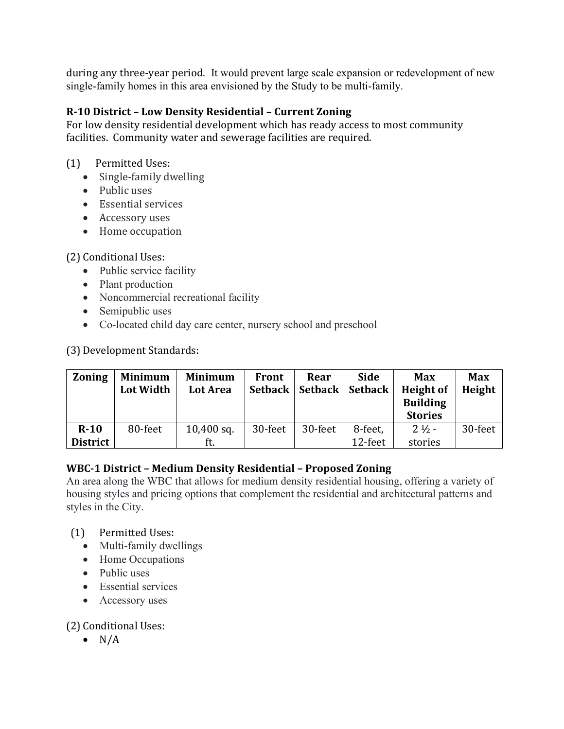during any three-year period. It would prevent large scale expansion or redevelopment of new single-family homes in this area envisioned by the Study to be multi-family.

# **R-10 District – Low Density Residential – Current Zoning**

For low density residential development which has ready access to most community facilities. Community water and sewerage facilities are required.

# (1) Permitted Uses:

- Single-family dwelling
- Public uses
- Essential services
- Accessory uses
- Home occupation

# (2) Conditional Uses:

- Public service facility
- Plant production
- Noncommercial recreational facility
- Semipublic uses
- Co-located child day care center, nursery school and preschool

(3) Development Standards:

| <b>Zoning</b>   | <b>Minimum</b><br><b>Lot Width</b> | <b>Minimum</b><br>Lot Area | <b>Front</b><br>Setback | Rear<br>Setback | <b>Side</b><br><b>Setback</b> | <b>Max</b><br><b>Height of</b>    | <b>Max</b><br>Height |
|-----------------|------------------------------------|----------------------------|-------------------------|-----------------|-------------------------------|-----------------------------------|----------------------|
|                 |                                    |                            |                         |                 |                               | <b>Building</b><br><b>Stories</b> |                      |
| $R-10$          | 80-feet                            | $10,400$ sq.               | 30-feet                 | 30-feet         | 8-feet,                       | $2 \frac{1}{2}$ -                 | 30-feet              |
| <b>District</b> |                                    | ft.                        |                         |                 | 12-feet                       | stories                           |                      |

# **WBC-1 District – Medium Density Residential – Proposed Zoning**

An area along the WBC that allows for medium density residential housing, offering a variety of housing styles and pricing options that complement the residential and architectural patterns and styles in the City.

# (1) Permitted Uses:

- Multi-family dwellings
- Home Occupations
- Public uses
- Essential services
- Accessory uses

(2) Conditional Uses:

 $\bullet$  N/A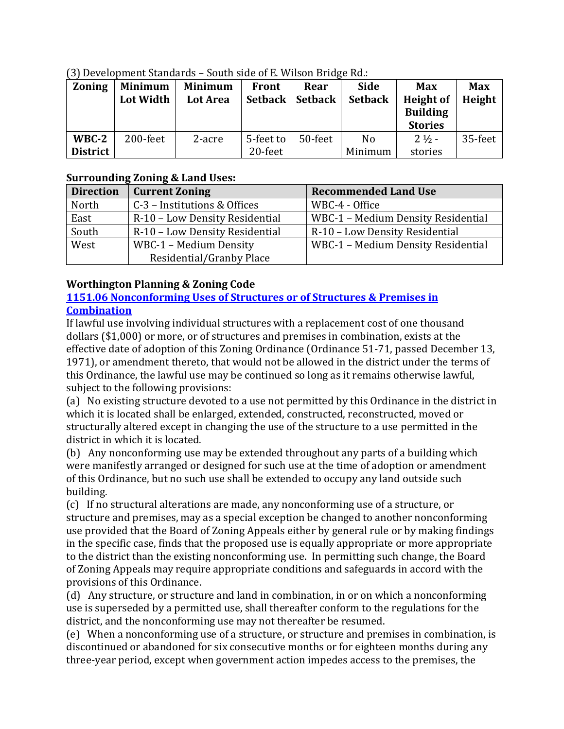| <b>Zoning</b>   | <b>Minimum</b><br>Lot Width | Minimum<br>Lot Area | Front     | Rear<br>Setback   Setback | <b>Side</b><br><b>Setback</b> | <b>Max</b><br>Height of<br><b>Building</b><br><b>Stories</b> | <b>Max</b><br>Height |
|-----------------|-----------------------------|---------------------|-----------|---------------------------|-------------------------------|--------------------------------------------------------------|----------------------|
| $WBC-2$         | 200-feet                    | 2-acre              | 5-feet to | 50-feet                   | N <sub>o</sub>                | $2 \frac{1}{2}$ -                                            | 35-feet              |
| <b>District</b> |                             |                     | 20-feet   |                           | Minimum                       | stories                                                      |                      |

(3) Development Standards – South side of E. Wilson Bridge Rd.:

# **Surrounding Zoning & Land Uses:**

| <b>Direction</b> | <b>Current Zoning</b>          | <b>Recommended Land Use</b>        |  |  |
|------------------|--------------------------------|------------------------------------|--|--|
| North            | C-3 – Institutions & Offices   | WBC-4 - Office                     |  |  |
| East             | R-10 - Low Density Residential | WBC-1 - Medium Density Residential |  |  |
| South            | R-10 - Low Density Residential | R-10 - Low Density Residential     |  |  |
| West             | WBC-1 - Medium Density         | WBC-1 - Medium Density Residential |  |  |
|                  | Residential/Granby Place       |                                    |  |  |

# **Worthington Planning & Zoning Code**

## **1151.06 [Nonconforming Uses of Structures or of](https://codelibrary.amlegal.com/codes/worthington/latest/worthington_oh/0-0-0-23345#JD_1151) Structures & Premises in [Combination](https://codelibrary.amlegal.com/codes/worthington/latest/worthington_oh/0-0-0-23345#JD_1151)**

If lawful use involving individual structures with a replacement cost of one thousand dollars (\$1,000) or more, or of structures and premises in combination, exists at the effective date of adoption of this Zoning Ordinance (Ordinance 51-71, passed December 13, 1971), or amendment thereto, that would not be allowed in the district under the terms of this Ordinance, the lawful use may be continued so long as it remains otherwise lawful, subject to the following provisions:

(a) No existing structure devoted to a use not permitted by this Ordinance in the district in which it is located shall be enlarged, extended, constructed, reconstructed, moved or structurally altered except in changing the use of the structure to a use permitted in the district in which it is located.

(b) Any nonconforming use may be extended throughout any parts of a building which were manifestly arranged or designed for such use at the time of adoption or amendment of this Ordinance, but no such use shall be extended to occupy any land outside such building.

(c) If no structural alterations are made, any nonconforming use of a structure, or structure and premises, may as a special exception be changed to another nonconforming use provided that the Board of Zoning Appeals either by general rule or by making findings in the specific case, finds that the proposed use is equally appropriate or more appropriate to the district than the existing nonconforming use. In permitting such change, the Board of Zoning Appeals may require appropriate conditions and safeguards in accord with the provisions of this Ordinance.

(d) Any structure, or structure and land in combination, in or on which a nonconforming use is superseded by a permitted use, shall thereafter conform to the regulations for the district, and the nonconforming use may not thereafter be resumed.

(e) When a nonconforming use of a structure, or structure and premises in combination, is discontinued or abandoned for six consecutive months or for eighteen months during any three-year period, except when government action impedes access to the premises, the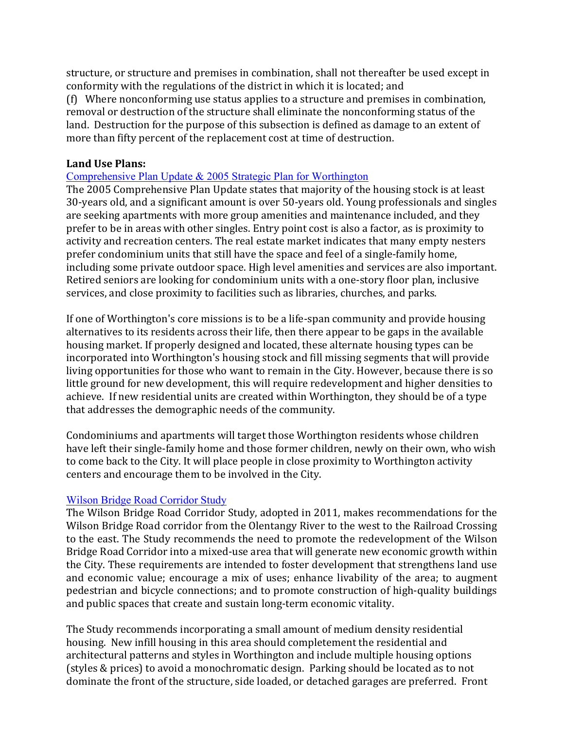structure, or structure and premises in combination, shall not thereafter be used except in conformity with the regulations of the district in which it is located; and

(f) Where nonconforming use status applies to a structure and premises in combination, removal or destruction of the structure shall eliminate the nonconforming status of the land. Destruction for the purpose of this subsection is defined as damage to an extent of more than fifty percent of the replacement cost at time of destruction.

## **Land Use Plans:**

### [Comprehensive Plan Update & 2005 Strategic Plan for Worthington](https://worthington.org/DocumentCenter/View/155/Comprehensive-Plan?bidId=)

The 2005 Comprehensive Plan Update states that majority of the housing stock is at least 30-years old, and a significant amount is over 50-years old. Young professionals and singles are seeking apartments with more group amenities and maintenance included, and they prefer to be in areas with other singles. Entry point cost is also a factor, as is proximity to activity and recreation centers. The real estate market indicates that many empty nesters prefer condominium units that still have the space and feel of a single-family home, including some private outdoor space. High level amenities and services are also important. Retired seniors are looking for condominium units with a one-story floor plan, inclusive services, and close proximity to facilities such as libraries, churches, and parks.

If one of Worthington's core missions is to be a life-span community and provide housing alternatives to its residents across their life, then there appear to be gaps in the available housing market. If properly designed and located, these alternate housing types can be incorporated into Worthington's housing stock and fill missing segments that will provide living opportunities for those who want to remain in the City. However, because there is so little ground for new development, this will require redevelopment and higher densities to achieve. If new residential units are created within Worthington, they should be of a type that addresses the demographic needs of the community.

Condominiums and apartments will target those Worthington residents whose children have left their single-family home and those former children, newly on their own, who wish to come back to the City. It will place people in close proximity to Worthington activity centers and encourage them to be involved in the City.

#### [Wilson Bridge Road Corridor Study](https://worthington.org/645/2011-Wilson-Bridge-Road-Corridor-Study)

The Wilson Bridge Road Corridor Study, adopted in 2011, makes recommendations for the Wilson Bridge Road corridor from the Olentangy River to the west to the Railroad Crossing to the east. The Study recommends the need to promote the redevelopment of the Wilson Bridge Road Corridor into a mixed-use area that will generate new economic growth within the City. These requirements are intended to foster development that strengthens land use and economic value; encourage a mix of uses; enhance livability of the area; to augment pedestrian and bicycle connections; and to promote construction of high-quality buildings and public spaces that create and sustain long-term economic vitality.

The Study recommends incorporating a small amount of medium density residential housing. New infill housing in this area should completement the residential and architectural patterns and styles in Worthington and include multiple housing options (styles & prices) to avoid a monochromatic design. Parking should be located as to not dominate the front of the structure, side loaded, or detached garages are preferred. Front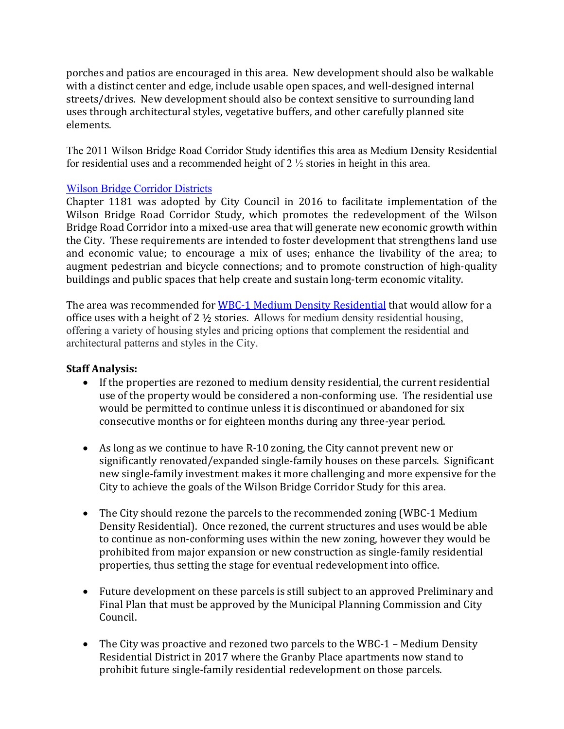porches and patios are encouraged in this area. New development should also be walkable with a distinct center and edge, include usable open spaces, and well-designed internal streets/drives. New development should also be context sensitive to surrounding land uses through architectural styles, vegetative buffers, and other carefully planned site elements.

The 2011 Wilson Bridge Road Corridor Study identifies this area as Medium Density Residential for residential uses and a recommended height of 2 ½ stories in height in this area.

#### [Wilson Bridge Corridor Districts](http://library2.amlegal.com/nxt/gateway.dll/Ohio/worthington_oh/codifiedordinancesofthecityofworthington?f=templates$fn=default.htm$3.0$vid=amlegal:worthington_oh)

Chapter 1181 was adopted by City Council in 2016 to facilitate implementation of the Wilson Bridge Road Corridor Study, which promotes the redevelopment of the Wilson Bridge Road Corridor into a mixed-use area that will generate new economic growth within the City. These requirements are intended to foster development that strengthens land use and economic value; to encourage a mix of uses; enhance the livability of the area; to augment pedestrian and bicycle connections; and to promote construction of high-quality buildings and public spaces that help create and sustain long-term economic vitality.

The area was recommended for WBC-1 [Medium](https://codelibrary.amlegal.com/codes/worthington/latest/worthington_oh/0-0-0-37765#JD_1181.06) Density Residential that would allow for a office uses with a height of 2 ½ stories. Allows for medium density residential housing, offering a variety of housing styles and pricing options that complement the residential and architectural patterns and styles in the City.

#### **Staff Analysis:**

- If the properties are rezoned to medium density residential, the current residential use of the property would be considered a non-conforming use. The residential use would be permitted to continue unless it is discontinued or abandoned for six consecutive months or for eighteen months during any three-year period.
- As long as we continue to have R-10 zoning, the City cannot prevent new or significantly renovated/expanded single-family houses on these parcels. Significant new single-family investment makes it more challenging and more expensive for the City to achieve the goals of the Wilson Bridge Corridor Study for this area.
- The City should rezone the parcels to the recommended zoning (WBC-1 Medium) Density Residential). Once rezoned, the current structures and uses would be able to continue as non-conforming uses within the new zoning, however they would be prohibited from major expansion or new construction as single-family residential properties, thus setting the stage for eventual redevelopment into office.
- Future development on these parcels is still subject to an approved Preliminary and Final Plan that must be approved by the Municipal Planning Commission and City Council.
- The City was proactive and rezoned two parcels to the WBC-1 Medium Density Residential District in 2017 where the Granby Place apartments now stand to prohibit future single-family residential redevelopment on those parcels.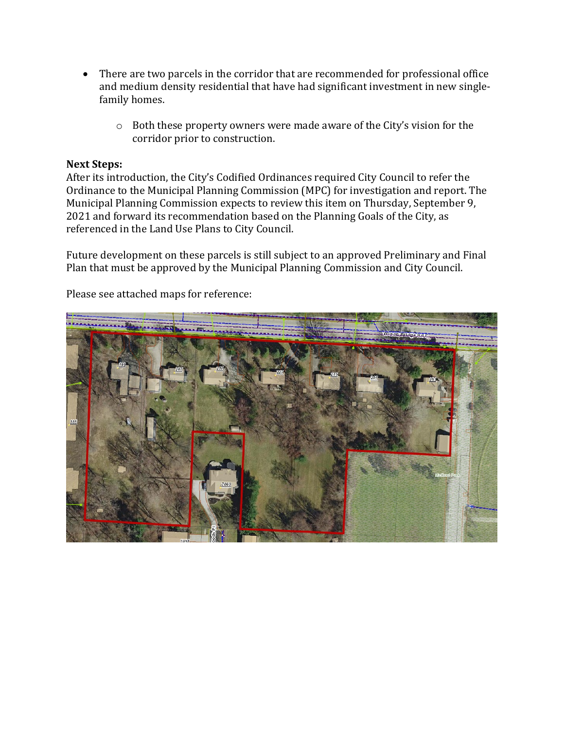- There are two parcels in the corridor that are recommended for professional office and medium density residential that have had significant investment in new singlefamily homes.
	- o Both these property owners were made aware of the City's vision for the corridor prior to construction.

#### **Next Steps:**

After its introduction, the City's Codified Ordinances required City Council to refer the Ordinance to the Municipal Planning Commission (MPC) for investigation and report. The Municipal Planning Commission expects to review this item on Thursday, September 9, 2021 and forward its recommendation based on the Planning Goals of the City, as referenced in the Land Use Plans to City Council.

Future development on these parcels is still subject to an approved Preliminary and Final Plan that must be approved by the Municipal Planning Commission and City Council.

Please see attached maps for reference:

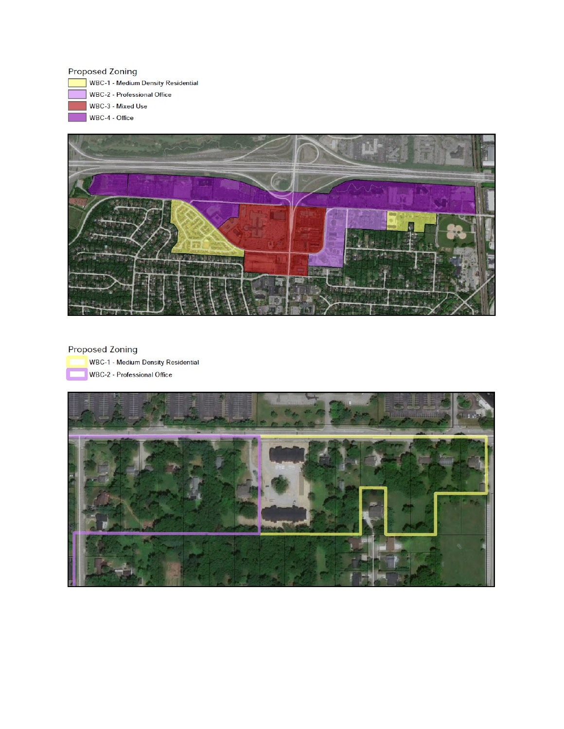#### **Proposed Zoning**

WBC-1 - Medium Density Residential WBC-2 - Professional Office WBC-3 - Mixed Use WBC-4 - Office



#### **Proposed Zoning**

WBC-1 - Medium Density Residential WBC-2 - Professional Office